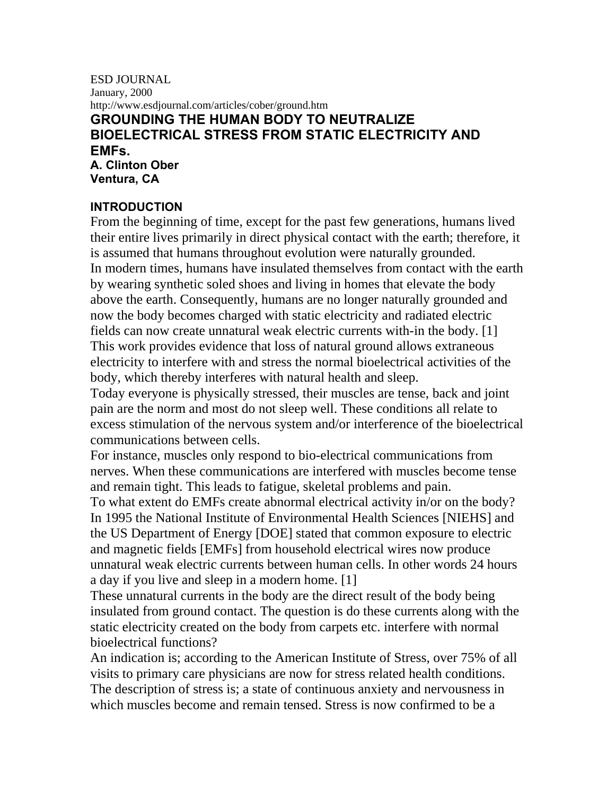#### ESD JOURNAL January, 2000 http://www.esdjournal.com/articles/cober/ground.htm **GROUNDING THE HUMAN BODY TO NEUTRALIZE BIOELECTRICAL STRESS FROM STATIC ELECTRICITY AND EMFs. A. Clinton Ober**

**Ventura, CA** 

#### **INTRODUCTION**

From the beginning of time, except for the past few generations, humans lived their entire lives primarily in direct physical contact with the earth; therefore, it is assumed that humans throughout evolution were naturally grounded. In modern times, humans have insulated themselves from contact with the earth by wearing synthetic soled shoes and living in homes that elevate the body above the earth. Consequently, humans are no longer naturally grounded and now the body becomes charged with static electricity and radiated electric fields can now create unnatural weak electric currents with-in the body. [1] This work provides evidence that loss of natural ground allows extraneous electricity to interfere with and stress the normal bioelectrical activities of the body, which thereby interferes with natural health and sleep.

Today everyone is physically stressed, their muscles are tense, back and joint pain are the norm and most do not sleep well. These conditions all relate to excess stimulation of the nervous system and/or interference of the bioelectrical communications between cells.

For instance, muscles only respond to bio-electrical communications from nerves. When these communications are interfered with muscles become tense and remain tight. This leads to fatigue, skeletal problems and pain.

To what extent do EMFs create abnormal electrical activity in/or on the body? In 1995 the National Institute of Environmental Health Sciences [NIEHS] and the US Department of Energy [DOE] stated that common exposure to electric and magnetic fields [EMFs] from household electrical wires now produce unnatural weak electric currents between human cells. In other words 24 hours a day if you live and sleep in a modern home. [1]

These unnatural currents in the body are the direct result of the body being insulated from ground contact. The question is do these currents along with the static electricity created on the body from carpets etc. interfere with normal bioelectrical functions?

An indication is; according to the American Institute of Stress, over 75% of all visits to primary care physicians are now for stress related health conditions. The description of stress is; a state of continuous anxiety and nervousness in which muscles become and remain tensed. Stress is now confirmed to be a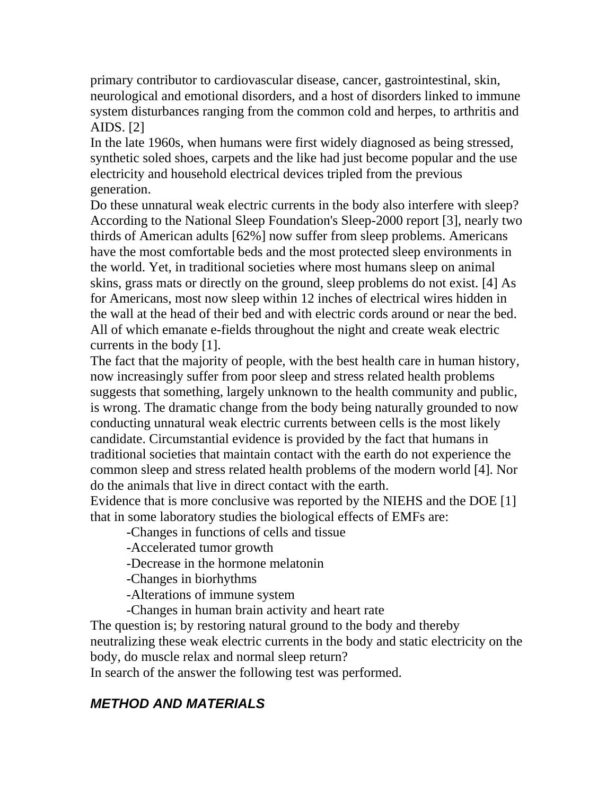primary contributor to cardiovascular disease, cancer, gastrointestinal, skin, neurological and emotional disorders, and a host of disorders linked to immune system disturbances ranging from the common cold and herpes, to arthritis and AIDS. [2]

In the late 1960s, when humans were first widely diagnosed as being stressed, synthetic soled shoes, carpets and the like had just become popular and the use electricity and household electrical devices tripled from the previous generation.

Do these unnatural weak electric currents in the body also interfere with sleep? According to the National Sleep Foundation's Sleep-2000 report [3], nearly two thirds of American adults [62%] now suffer from sleep problems. Americans have the most comfortable beds and the most protected sleep environments in the world. Yet, in traditional societies where most humans sleep on animal skins, grass mats or directly on the ground, sleep problems do not exist. [4] As for Americans, most now sleep within 12 inches of electrical wires hidden in the wall at the head of their bed and with electric cords around or near the bed. All of which emanate e-fields throughout the night and create weak electric currents in the body [1].

The fact that the majority of people, with the best health care in human history, now increasingly suffer from poor sleep and stress related health problems suggests that something, largely unknown to the health community and public, is wrong. The dramatic change from the body being naturally grounded to now conducting unnatural weak electric currents between cells is the most likely candidate. Circumstantial evidence is provided by the fact that humans in traditional societies that maintain contact with the earth do not experience the common sleep and stress related health problems of the modern world [4]. Nor do the animals that live in direct contact with the earth.

Evidence that is more conclusive was reported by the NIEHS and the DOE [1] that in some laboratory studies the biological effects of EMFs are:

-Changes in functions of cells and tissue

-Accelerated tumor growth

-Decrease in the hormone melatonin

-Changes in biorhythms

-Alterations of immune system

-Changes in human brain activity and heart rate

The question is; by restoring natural ground to the body and thereby

neutralizing these weak electric currents in the body and static electricity on the body, do muscle relax and normal sleep return?

In search of the answer the following test was performed.

# *METHOD AND MATERIALS*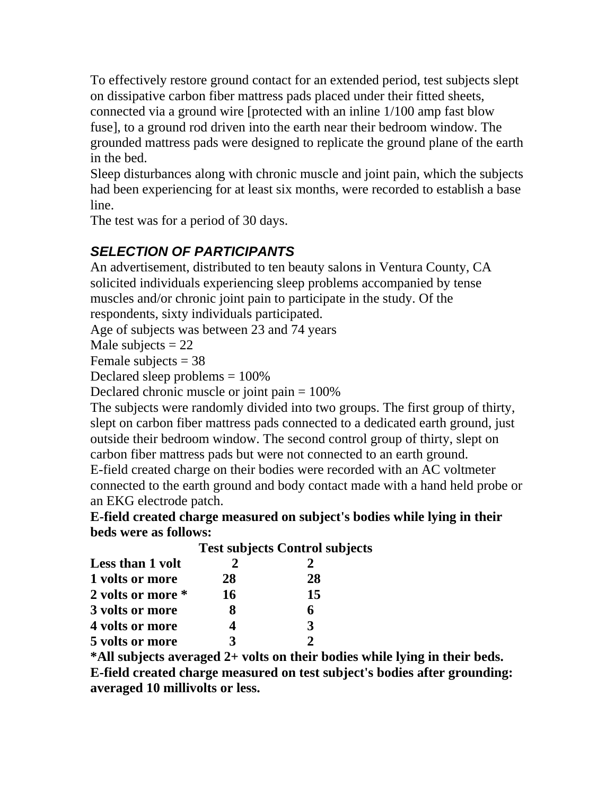To effectively restore ground contact for an extended period, test subjects slept on dissipative carbon fiber mattress pads placed under their fitted sheets, connected via a ground wire [protected with an inline 1/100 amp fast blow fuse], to a ground rod driven into the earth near their bedroom window. The grounded mattress pads were designed to replicate the ground plane of the earth in the bed.

Sleep disturbances along with chronic muscle and joint pain, which the subjects had been experiencing for at least six months, were recorded to establish a base line.

The test was for a period of 30 days.

# *SELECTION OF PARTICIPANTS*

An advertisement, distributed to ten beauty salons in Ventura County, CA solicited individuals experiencing sleep problems accompanied by tense muscles and/or chronic joint pain to participate in the study. Of the respondents, sixty individuals participated.

Age of subjects was between 23 and 74 years

Male subjects  $= 22$ 

Female subjects  $= 38$ 

Declared sleep problems = 100%

Declared chronic muscle or joint pain = 100%

The subjects were randomly divided into two groups. The first group of thirty, slept on carbon fiber mattress pads connected to a dedicated earth ground, just outside their bedroom window. The second control group of thirty, slept on carbon fiber mattress pads but were not connected to an earth ground.

E-field created charge on their bodies were recorded with an AC voltmeter connected to the earth ground and body contact made with a hand held probe or an EKG electrode patch.

**E-field created charge measured on subject's bodies while lying in their beds were as follows:** 

| Less than 1 volt  | <b>Test subjects Control subjects</b> |    |  |
|-------------------|---------------------------------------|----|--|
|                   |                                       |    |  |
| 1 volts or more   | 28                                    | 28 |  |
| 2 volts or more * | 16                                    | 15 |  |
| 3 volts or more   | x                                     | 6  |  |
| 4 volts or more   |                                       | 3  |  |
| 5 volts or more   |                                       |    |  |

**\*All subjects averaged 2+ volts on their bodies while lying in their beds. E-field created charge measured on test subject's bodies after grounding: averaged 10 millivolts or less.**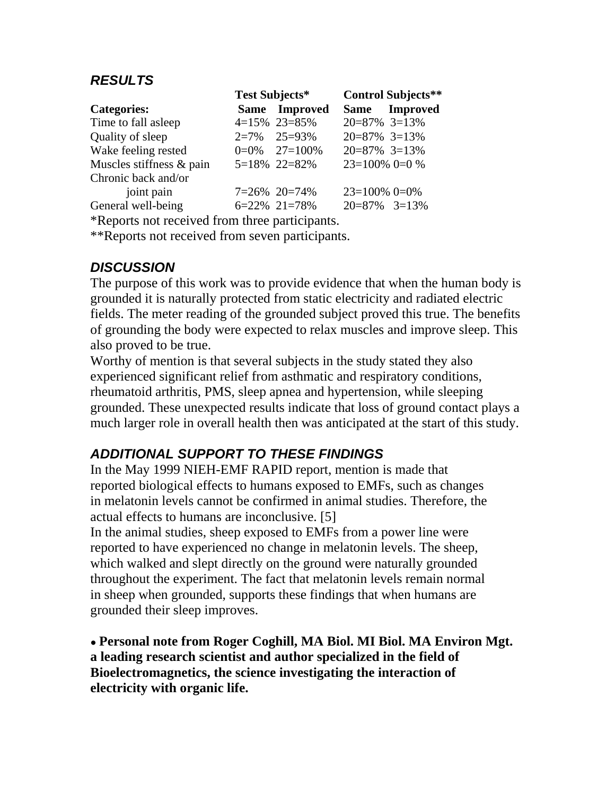### *RESULTS*

|                          | Test Subjects* |                 | <b>Control Subjects**</b> |               |
|--------------------------|----------------|-----------------|---------------------------|---------------|
| <b>Categories:</b>       |                | Same Improved   |                           | Same Improved |
| Time to fall asleep      |                | 4=15% 23=85%    | $20=87\%$ 3=13%           |               |
| Quality of sleep         |                | $2=7\%$ 25=93%  | $20=87\%$ 3=13%           |               |
| Wake feeling rested      |                | $0=0\%$ 27=100% | $20=87\%$ 3=13%           |               |
| Muscles stiffness & pain |                | 5=18% 22=82%    | $23=100\%$ 0=0 %          |               |
| Chronic back and/or      |                |                 |                           |               |
| joint pain               |                | $7=26\%$ 20=74% | $23=100\%$ 0=0%           |               |
| General well-being       |                | $6=22\%$ 21=78% | $20=87\%$ 3=13%           |               |

\*Reports not received from three participants.

\*\*Reports not received from seven participants.

### *DISCUSSION*

The purpose of this work was to provide evidence that when the human body is grounded it is naturally protected from static electricity and radiated electric fields. The meter reading of the grounded subject proved this true. The benefits of grounding the body were expected to relax muscles and improve sleep. This also proved to be true.

Worthy of mention is that several subjects in the study stated they also experienced significant relief from asthmatic and respiratory conditions, rheumatoid arthritis, PMS, sleep apnea and hypertension, while sleeping grounded. These unexpected results indicate that loss of ground contact plays a much larger role in overall health then was anticipated at the start of this study.

# *ADDITIONAL SUPPORT TO THESE FINDINGS*

In the May 1999 NIEH-EMF RAPID report, mention is made that reported biological effects to humans exposed to EMFs, such as changes in melatonin levels cannot be confirmed in animal studies. Therefore, the actual effects to humans are inconclusive. [5]

In the animal studies, sheep exposed to EMFs from a power line were reported to have experienced no change in melatonin levels. The sheep, which walked and slept directly on the ground were naturally grounded throughout the experiment. The fact that melatonin levels remain normal in sheep when grounded, supports these findings that when humans are grounded their sleep improves.

**● Personal note from Roger Coghill, MA Biol. MI Biol. MA Environ Mgt. a leading research scientist and author specialized in the field of Bioelectromagnetics, the science investigating the interaction of electricity with organic life.**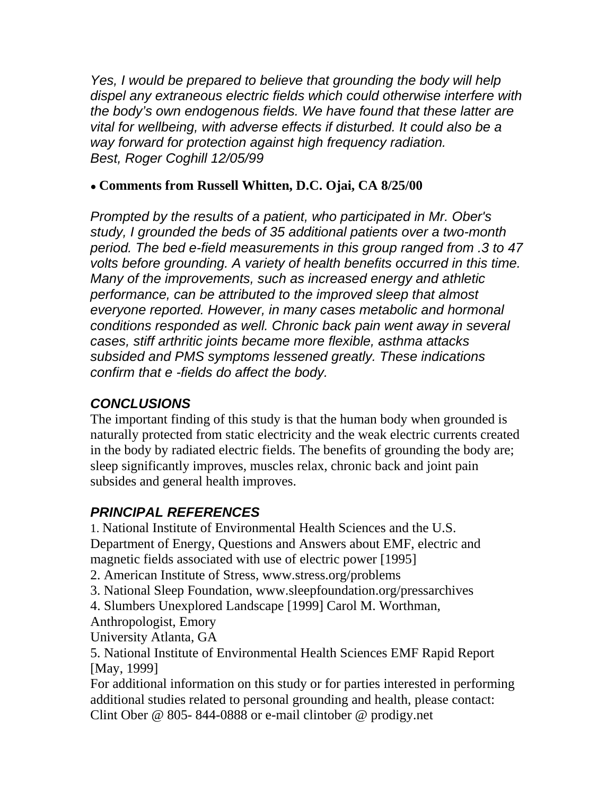*Yes, I would be prepared to believe that grounding the body will help dispel any extraneous electric fields which could otherwise interfere with the body's own endogenous fields. We have found that these latter are vital for wellbeing, with adverse effects if disturbed. It could also be a way forward for protection against high frequency radiation. Best, Roger Coghill 12/05/99* 

#### **● Comments from Russell Whitten, D.C. Ojai, CA 8/25/00**

*Prompted by the results of a patient, who participated in Mr. Ober's study, I grounded the beds of 35 additional patients over a two-month period. The bed e-field measurements in this group ranged from .3 to 47 volts before grounding. A variety of health benefits occurred in this time. Many of the improvements, such as increased energy and athletic performance, can be attributed to the improved sleep that almost everyone reported. However, in many cases metabolic and hormonal conditions responded as well. Chronic back pain went away in several cases, stiff arthritic joints became more flexible, asthma attacks subsided and PMS symptoms lessened greatly. These indications confirm that e -fields do affect the body.* 

### *CONCLUSIONS*

The important finding of this study is that the human body when grounded is naturally protected from static electricity and the weak electric currents created in the body by radiated electric fields. The benefits of grounding the body are; sleep significantly improves, muscles relax, chronic back and joint pain subsides and general health improves.

# *PRINCIPAL REFERENCES*

1. National Institute of Environmental Health Sciences and the U.S. Department of Energy, Questions and Answers about EMF, electric and magnetic fields associated with use of electric power [1995]

2. American Institute of Stress, www.stress.org/problems

3. National Sleep Foundation, www.sleepfoundation.org/pressarchives

4. Slumbers Unexplored Landscape [1999] Carol M. Worthman,

Anthropologist, Emory

University Atlanta, GA

5. National Institute of Environmental Health Sciences EMF Rapid Report [May, 1999]

For additional information on this study or for parties interested in performing additional studies related to personal grounding and health, please contact: Clint Ober @ 805- 844-0888 or e-mail clintober @ prodigy.net